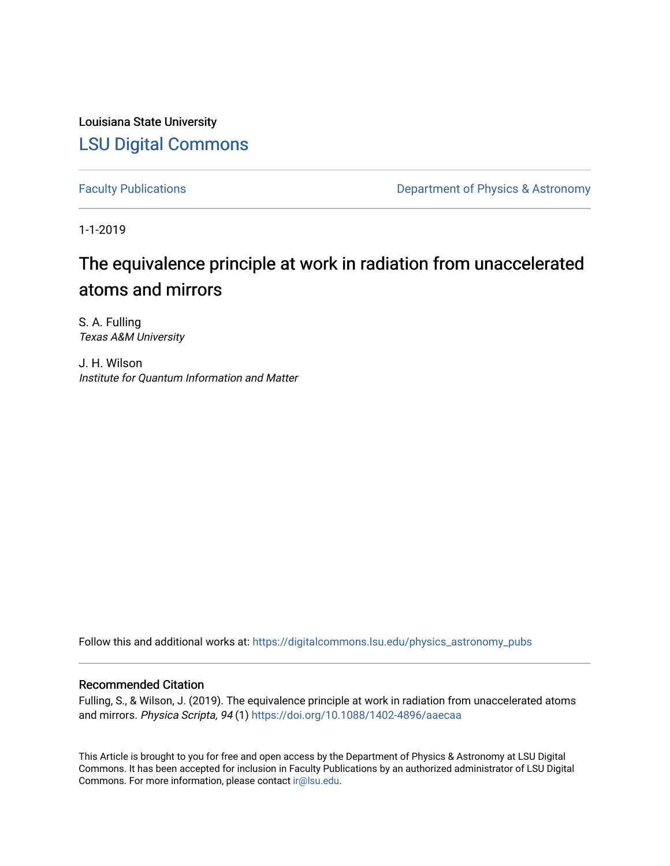Louisiana State University [LSU Digital Commons](https://digitalcommons.lsu.edu/)

[Faculty Publications](https://digitalcommons.lsu.edu/physics_astronomy_pubs) **Exercise 2 and Table 2 and Table 2 and Table 2 and Table 2 and Table 2 and Table 2 and Table 2 and Table 2 and Table 2 and Table 2 and Table 2 and Table 2 and Table 2 and Table 2 and Table 2 and Table** 

1-1-2019

# The equivalence principle at work in radiation from unaccelerated atoms and mirrors

S. A. Fulling Texas A&M University

J. H. Wilson Institute for Quantum Information and Matter

Follow this and additional works at: [https://digitalcommons.lsu.edu/physics\\_astronomy\\_pubs](https://digitalcommons.lsu.edu/physics_astronomy_pubs?utm_source=digitalcommons.lsu.edu%2Fphysics_astronomy_pubs%2F5796&utm_medium=PDF&utm_campaign=PDFCoverPages) 

## Recommended Citation

Fulling, S., & Wilson, J. (2019). The equivalence principle at work in radiation from unaccelerated atoms and mirrors. Physica Scripta, 94 (1) <https://doi.org/10.1088/1402-4896/aaecaa>

This Article is brought to you for free and open access by the Department of Physics & Astronomy at LSU Digital Commons. It has been accepted for inclusion in Faculty Publications by an authorized administrator of LSU Digital Commons. For more information, please contact [ir@lsu.edu](mailto:ir@lsu.edu).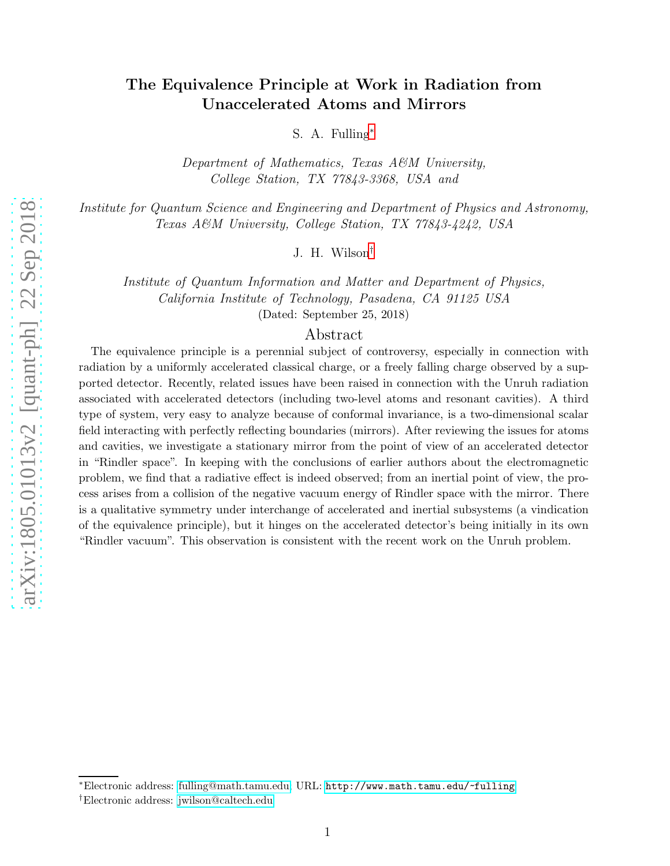## The Equivalence Principle at Work in Radiation from Unaccelerated Atoms and Mirrors

S. A. Fulling[∗](#page-1-0)

*Department of Mathematics, Texas A&M University, College Station, TX 77843-3368, USA and*

*Institute for Quantum Science and Engineering and Department of Physics and Astronomy, Texas A&M University, College Station, TX 77843-4242, USA*

J. H. Wilson[†](#page-1-1)

*Institute of Quantum Information and Matter and Department of Physics, California Institute of Technology, Pasadena, CA 91125 USA* (Dated: September 25, 2018)

## Abstract

The equivalence principle is a perennial subject of controversy, especially in connection with radiation by a uniformly accelerated classical charge, or a freely falling charge observed by a supported detector. Recently, related issues have been raised in connection with the Unruh radiation associated with accelerated detectors (including two-level atoms and resonant cavities). A third type of system, very easy to analyze because of conformal invariance, is a two-dimensional scalar field interacting with perfectly reflecting boundaries (mirrors). After reviewing the issues for atoms and cavities, we investigate a stationary mirror from the point of view of an accelerated detector in "Rindler space". In keeping with the conclusions of earlier authors about the electromagnetic problem, we find that a radiative effect is indeed observed; from an inertial point of view, the process arises from a collision of the negative vacuum energy of Rindler space with the mirror. There is a qualitative symmetry under interchange of accelerated and inertial subsystems (a vindication of the equivalence principle), but it hinges on the accelerated detector's being initially in its own "Rindler vacuum". This observation is consistent with the recent work on the Unruh problem.

<span id="page-1-0"></span><sup>∗</sup>Electronic address: [fulling@math.tamu.edu;](mailto:fulling@math.tamu.edu) URL: <http://www.math.tamu.edu/~fulling>

<span id="page-1-1"></span><sup>†</sup>Electronic address: [jwilson@caltech.edu](mailto:jwilson@caltech.edu)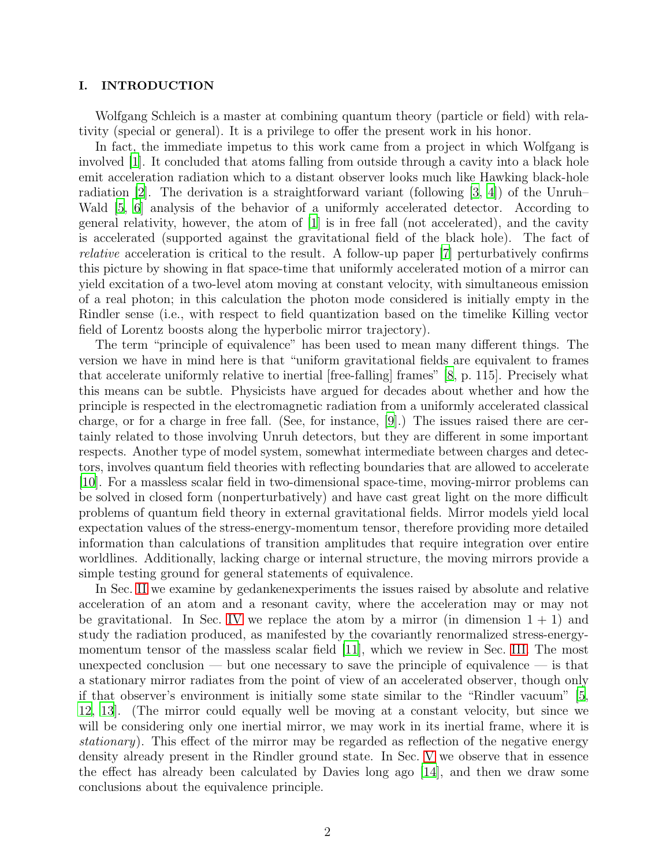## I. INTRODUCTION

Wolfgang Schleich is a master at combining quantum theory (particle or field) with relativity (special or general). It is a privilege to offer the present work in his honor.

In fact, the immediate impetus to this work came from a project in which Wolfgang is involved [\[1\]](#page-14-0). It concluded that atoms falling from outside through a cavity into a black hole emit acceleration radiation which to a distant observer looks much like Hawking black-hole radiation [\[2\]](#page-14-1). The derivation is a straightforward variant (following [\[3,](#page-14-2) [4\]](#page-14-3)) of the Unruh– Wald [\[5,](#page-14-4) [6](#page-14-5)] analysis of the behavior of a uniformly accelerated detector. According to general relativity, however, the atom of [\[1](#page-14-0)] is in free fall (not accelerated), and the cavity is accelerated (supported against the gravitational field of the black hole). The fact of *relative* acceleration is critical to the result. A follow-up paper [\[7\]](#page-14-6) perturbatively confirms this picture by showing in flat space-time that uniformly accelerated motion of a mirror can yield excitation of a two-level atom moving at constant velocity, with simultaneous emission of a real photon; in this calculation the photon mode considered is initially empty in the Rindler sense (i.e., with respect to field quantization based on the timelike Killing vector field of Lorentz boosts along the hyperbolic mirror trajectory).

The term "principle of equivalence" has been used to mean many different things. The version we have in mind here is that "uniform gravitational fields are equivalent to frames that accelerate uniformly relative to inertial [free-falling] frames" [\[8,](#page-14-7) p. 115]. Precisely what this means can be subtle. Physicists have argued for decades about whether and how the principle is respected in the electromagnetic radiation from a uniformly accelerated classical charge, or for a charge in free fall. (See, for instance, [\[9](#page-15-0)].) The issues raised there are certainly related to those involving Unruh detectors, but they are different in some important respects. Another type of model system, somewhat intermediate between charges and detectors, involves quantum field theories with reflecting boundaries that are allowed to accelerate [\[10\]](#page-15-1). For a massless scalar field in two-dimensional space-time, moving-mirror problems can be solved in closed form (nonperturbatively) and have cast great light on the more difficult problems of quantum field theory in external gravitational fields. Mirror models yield local expectation values of the stress-energy-momentum tensor, therefore providing more detailed information than calculations of transition amplitudes that require integration over entire worldlines. Additionally, lacking charge or internal structure, the moving mirrors provide a simple testing ground for general statements of equivalence.

In Sec. [II](#page-3-0) we examine by gedankenexperiments the issues raised by absolute and relative acceleration of an atom and a resonant cavity, where the acceleration may or may not be gravitational. In Sec. [IV](#page-9-0) we replace the atom by a mirror (in dimension  $1 + 1$ ) and study the radiation produced, as manifested by the covariantly renormalized stress-energymomentum tensor of the massless scalar field [\[11](#page-15-2)], which we review in Sec. [III.](#page-5-0) The most unexpected conclusion — but one necessary to save the principle of equivalence — is that a stationary mirror radiates from the point of view of an accelerated observer, though only if that observer's environment is initially some state similar to the "Rindler vacuum" [\[5,](#page-14-4) [12,](#page-15-3) [13](#page-15-4)]. (The mirror could equally well be moving at a constant velocity, but since we will be considering only one inertial mirror, we may work in its inertial frame, where it is *stationary*). This effect of the mirror may be regarded as reflection of the negative energy density already present in the Rindler ground state. In Sec. [V](#page-12-0) we observe that in essence the effect has already been calculated by Davies long ago [\[14\]](#page-15-5), and then we draw some conclusions about the equivalence principle.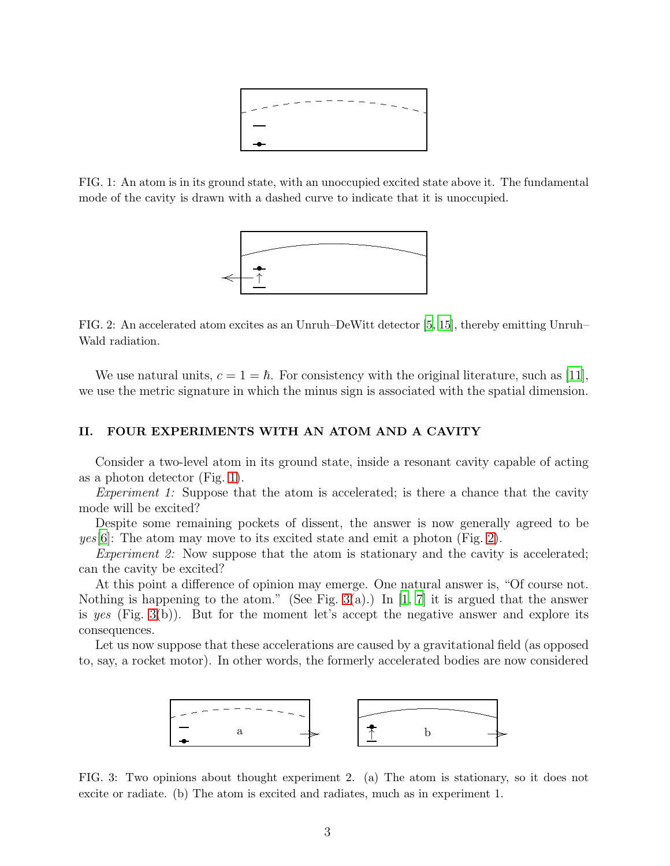

<span id="page-3-1"></span>FIG. 1: An atom is in its ground state, with an unoccupied excited state above it. The fundamental mode of the cavity is drawn with a dashed curve to indicate that it is unoccupied.



<span id="page-3-2"></span>FIG. 2: An accelerated atom excites as an Unruh–DeWitt detector [\[5](#page-14-4), [15](#page-15-6)], thereby emitting Unruh– Wald radiation.

We use natural units,  $c = 1 = \hbar$ . For consistency with the original literature, such as [\[11\]](#page-15-2), we use the metric signature in which the minus sign is associated with the spatial dimension.

## <span id="page-3-0"></span>II. FOUR EXPERIMENTS WITH AN ATOM AND A CAVITY

Consider a two-level atom in its ground state, inside a resonant cavity capable of acting as a photon detector (Fig. [1\)](#page-3-1).

*Experiment 1:* Suppose that the atom is accelerated; is there a chance that the cavity mode will be excited?

Despite some remaining pockets of dissent, the answer is now generally agreed to be *yes*[\[6\]](#page-14-5): The atom may move to its excited state and emit a photon (Fig. [2\)](#page-3-2).

*Experiment 2:* Now suppose that the atom is stationary and the cavity is accelerated; can the cavity be excited?

At this point a difference of opinion may emerge. One natural answer is, "Of course not. Nothing is happening to the atom." (See Fig. [3\(](#page-3-3)a).) In [\[1](#page-14-0), [7\]](#page-14-6) it is argued that the answer is *yes* (Fig. [3\(](#page-3-3)b)). But for the moment let's accept the negative answer and explore its consequences.

Let us now suppose that these accelerations are caused by a gravitational field (as opposed to, say, a rocket motor). In other words, the formerly accelerated bodies are now considered



<span id="page-3-3"></span>FIG. 3: Two opinions about thought experiment 2. (a) The atom is stationary, so it does not excite or radiate. (b) The atom is excited and radiates, much as in experiment 1.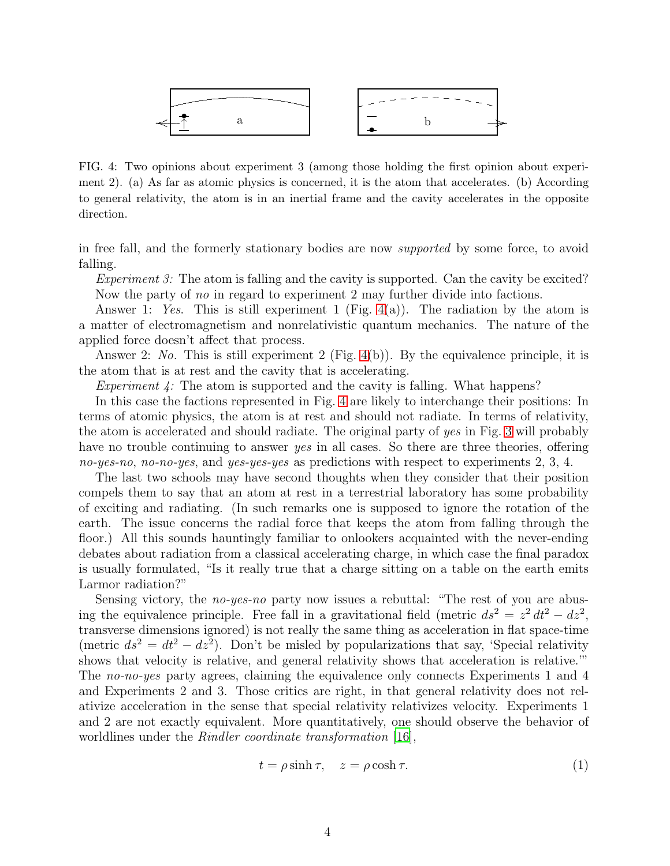

<span id="page-4-0"></span>FIG. 4: Two opinions about experiment 3 (among those holding the first opinion about experiment 2). (a) As far as atomic physics is concerned, it is the atom that accelerates. (b) According to general relativity, the atom is in an inertial frame and the cavity accelerates in the opposite direction.

in free fall, and the formerly stationary bodies are now *supported* by some force, to avoid falling.

*Experiment 3:* The atom is falling and the cavity is supported. Can the cavity be excited? Now the party of *no* in regard to experiment 2 may further divide into factions.

Answer 1: *Yes*. This is still experiment 1 (Fig. [4\(](#page-4-0)a)). The radiation by the atom is a matter of electromagnetism and nonrelativistic quantum mechanics. The nature of the applied force doesn't affect that process.

Answer 2: *No.* This is still experiment 2 (Fig. [4\(](#page-4-0)b)). By the equivalence principle, it is the atom that is at rest and the cavity that is accelerating.

*Experiment 4:* The atom is supported and the cavity is falling. What happens?

In this case the factions represented in Fig. [4](#page-4-0) are likely to interchange their positions: In terms of atomic physics, the atom is at rest and should not radiate. In terms of relativity, the atom is accelerated and should radiate. The original party of *yes* in Fig. [3](#page-3-3) will probably have no trouble continuing to answer *yes* in all cases. So there are three theories, offering *no-yes-no*, *no-no-yes*, and *yes-yes-yes* as predictions with respect to experiments 2, 3, 4.

The last two schools may have second thoughts when they consider that their position compels them to say that an atom at rest in a terrestrial laboratory has some probability of exciting and radiating. (In such remarks one is supposed to ignore the rotation of the earth. The issue concerns the radial force that keeps the atom from falling through the floor.) All this sounds hauntingly familiar to onlookers acquainted with the never-ending debates about radiation from a classical accelerating charge, in which case the final paradox is usually formulated, "Is it really true that a charge sitting on a table on the earth emits Larmor radiation?"

Sensing victory, the *no-yes-no* party now issues a rebuttal: "The rest of you are abusing the equivalence principle. Free fall in a gravitational field (metric  $ds^2 = z^2 dt^2 - dz^2$ , transverse dimensions ignored) is not really the same thing as acceleration in flat space-time (metric  $ds^2 = dt^2 - dz^2$ ). Don't be misled by popularizations that say, 'Special relativity shows that velocity is relative, and general relativity shows that acceleration is relative.'" The *no-no-yes* party agrees, claiming the equivalence only connects Experiments 1 and 4 and Experiments 2 and 3. Those critics are right, in that general relativity does not relativize acceleration in the sense that special relativity relativizes velocity. Experiments 1 and 2 are not exactly equivalent. More quantitatively, one should observe the behavior of worldlines under the *Rindler coordinate transformation* [\[16](#page-15-7)],

<span id="page-4-1"></span>
$$
t = \rho \sinh \tau, \quad z = \rho \cosh \tau. \tag{1}
$$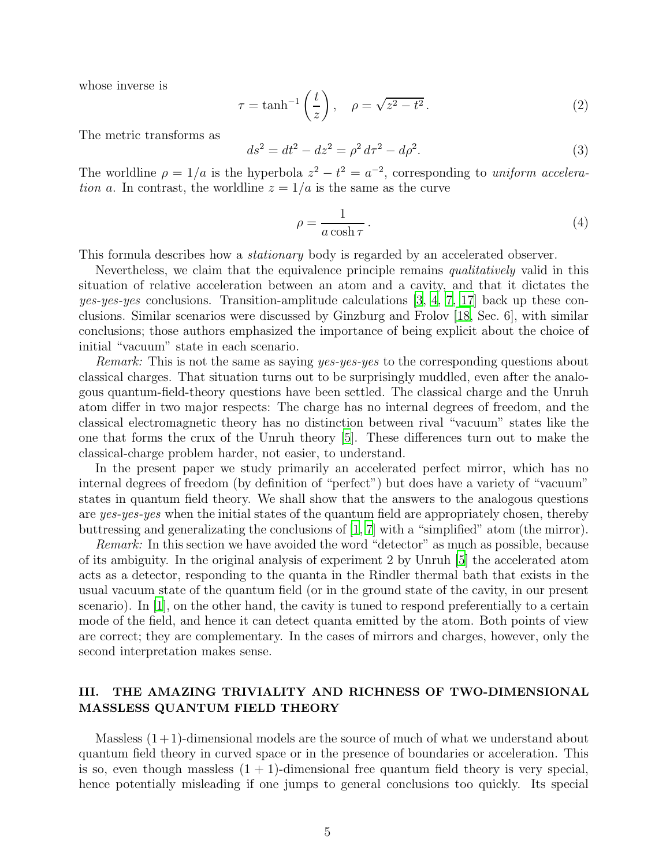whose inverse is

$$
\tau = \tanh^{-1}\left(\frac{t}{z}\right), \quad \rho = \sqrt{z^2 - t^2}.
$$
 (2)

The metric transforms as

<span id="page-5-1"></span>
$$
ds^2 = dt^2 - dz^2 = \rho^2 d\tau^2 - d\rho^2.
$$
\n(3)

The worldline  $\rho = 1/a$  is the hyperbola  $z^2 - t^2 = a^{-2}$ , corresponding to *uniform acceleration* a. In contrast, the worldline  $z = 1/a$  is the same as the curve

<span id="page-5-2"></span>
$$
\rho = \frac{1}{a \cosh \tau} \,. \tag{4}
$$

This formula describes how a *stationary* body is regarded by an accelerated observer.

Nevertheless, we claim that the equivalence principle remains *qualitatively* valid in this situation of relative acceleration between an atom and a cavity, and that it dictates the *yes-yes-yes* conclusions. Transition-amplitude calculations [\[3,](#page-14-2) [4](#page-14-3), [7,](#page-14-6) [17](#page-15-8)] back up these conclusions. Similar scenarios were discussed by Ginzburg and Frolov [\[18,](#page-15-9) Sec. 6], with similar conclusions; those authors emphasized the importance of being explicit about the choice of initial "vacuum" state in each scenario.

*Remark:* This is not the same as saying *yes-yes-yes* to the corresponding questions about classical charges. That situation turns out to be surprisingly muddled, even after the analogous quantum-field-theory questions have been settled. The classical charge and the Unruh atom differ in two major respects: The charge has no internal degrees of freedom, and the classical electromagnetic theory has no distinction between rival "vacuum" states like the one that forms the crux of the Unruh theory [\[5\]](#page-14-4). These differences turn out to make the classical-charge problem harder, not easier, to understand.

In the present paper we study primarily an accelerated perfect mirror, which has no internal degrees of freedom (by definition of "perfect") but does have a variety of "vacuum" states in quantum field theory. We shall show that the answers to the analogous questions are *yes-yes-yes* when the initial states of the quantum field are appropriately chosen, thereby buttressing and generalizating the conclusions of [\[1,](#page-14-0) [7\]](#page-14-6) with a "simplified" atom (the mirror).

*Remark:* In this section we have avoided the word "detector" as much as possible, because of its ambiguity. In the original analysis of experiment 2 by Unruh [\[5](#page-14-4)] the accelerated atom acts as a detector, responding to the quanta in the Rindler thermal bath that exists in the usual vacuum state of the quantum field (or in the ground state of the cavity, in our present scenario). In  $[1]$ , on the other hand, the cavity is tuned to respond preferentially to a certain mode of the field, and hence it can detect quanta emitted by the atom. Both points of view are correct; they are complementary. In the cases of mirrors and charges, however, only the second interpretation makes sense.

## <span id="page-5-0"></span>III. THE AMAZING TRIVIALITY AND RICHNESS OF TWO-DIMENSIONAL MASSLESS QUANTUM FIELD THEORY

Massless  $(1+1)$ -dimensional models are the source of much of what we understand about quantum field theory in curved space or in the presence of boundaries or acceleration. This is so, even though massless  $(1 + 1)$ -dimensional free quantum field theory is very special, hence potentially misleading if one jumps to general conclusions too quickly. Its special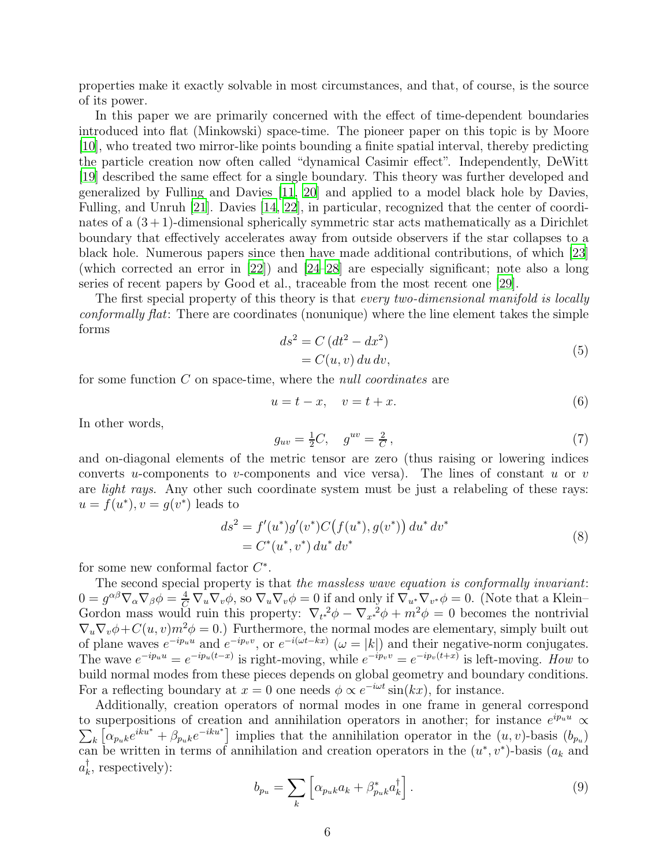properties make it exactly solvable in most circumstances, and that, of course, is the source of its power.

In this paper we are primarily concerned with the effect of time-dependent boundaries introduced into flat (Minkowski) space-time. The pioneer paper on this topic is by Moore [\[10\]](#page-15-1), who treated two mirror-like points bounding a finite spatial interval, thereby predicting the particle creation now often called "dynamical Casimir effect". Independently, DeWitt [\[19\]](#page-15-10) described the same effect for a single boundary. This theory was further developed and generalized by Fulling and Davies [\[11](#page-15-2), [20](#page-15-11)] and applied to a model black hole by Davies, Fulling, and Unruh [\[21\]](#page-15-12). Davies [\[14,](#page-15-5) [22\]](#page-15-13), in particular, recognized that the center of coordinates of a  $(3 + 1)$ -dimensional spherically symmetric star acts mathematically as a Dirichlet boundary that effectively accelerates away from outside observers if the star collapses to a black hole. Numerous papers since then have made additional contributions, of which [\[23\]](#page-15-14) (which corrected an error in [\[22](#page-15-13)]) and [\[24](#page-15-15)[–28\]](#page-15-16) are especially significant; note also a long series of recent papers by Good et al., traceable from the most recent one [\[29](#page-15-17)].

The first special property of this theory is that *every two-dimensional manifold is locally conformally flat*: There are coordinates (nonunique) where the line element takes the simple forms

<span id="page-6-2"></span>
$$
ds2 = C (dt2 - dx2)
$$
  
= C(u, v) du dv, (5)

for some function C on space-time, where the *null coordinates* are

<span id="page-6-0"></span>
$$
u = t - x, \quad v = t + x. \tag{6}
$$

In other words,

$$
g_{uv} = \frac{1}{2}C, \quad g^{uv} = \frac{2}{C}, \tag{7}
$$

and on-diagonal elements of the metric tensor are zero (thus raising or lowering indices converts u-components to v-components and vice versa). The lines of constant u or v are *light rays*. Any other such coordinate system must be just a relabeling of these rays:  $u = f(u^*), v = g(v^*)$  leads to

<span id="page-6-1"></span>
$$
ds^{2} = f'(u^{*})g'(v^{*})C(f(u^{*}), g(v^{*})) du^{*} dv^{*}
$$
  
=  $C^{*}(u^{*}, v^{*}) du^{*} dv^{*}$  (8)

for some new conformal factor  $C^*$ .

The second special property is that *the massless wave equation is conformally invariant*:  $0 = g^{\alpha\beta}\nabla_{\alpha}\nabla_{\beta}\phi = \frac{4}{C}\nabla_{u}\nabla_{v}\phi$ , so  $\nabla_{u}\nabla_{v}\phi = 0$  if and only if  $\nabla_{u^*}\nabla_{v^*}\phi = 0$ . (Note that a Klein-Gordon mass would ruin this property:  $\nabla_{t^*}^2 \phi - \nabla_{x^*}^2 \phi + m^2 \phi = 0$  becomes the nontrivial  $\nabla_u \nabla_v \phi + C(u, v) m^2 \phi = 0.$  Furthermore, the normal modes are elementary, simply built out of plane waves  $e^{-ip_u u}$  and  $e^{-ip_v v}$ , or  $e^{-i(\omega t - kx)}$   $(\omega = |k|)$  and their negative-norm conjugates. The wave  $e^{-ip_u u} = e^{-ip_u(t-x)}$  is right-moving, while  $e^{-ip_v v} = e^{-ip_v(t+x)}$  is left-moving. How to build normal modes from these pieces depends on global geometry and boundary conditions. For a reflecting boundary at  $x = 0$  one needs  $\phi \propto e^{-i\omega t} \sin(kx)$ , for instance.

Additionally, creation operators of normal modes in one frame in general correspond to superpositions of creation and annihilation operators in another; for instance  $e^{ip_u u} \propto$  $\sum_{k} \left[ \alpha_{p_{u}k} e^{iku^{*}} + \beta_{p_{u}k} e^{-iku^{*}} \right]$  implies that the annihilation operator in the  $(u, v)$ -basis  $(b_{p_{u}})$ can be written in terms of annihilation and creation operators in the  $(u^*, v^*)$ -basis  $(a_k$  and  $a_k^\dagger$  $\bar{k}$ , respectively):

$$
b_{pu} = \sum_{k} \left[ \alpha_{puk} a_k + \beta_{puk}^* a_k^{\dagger} \right]. \tag{9}
$$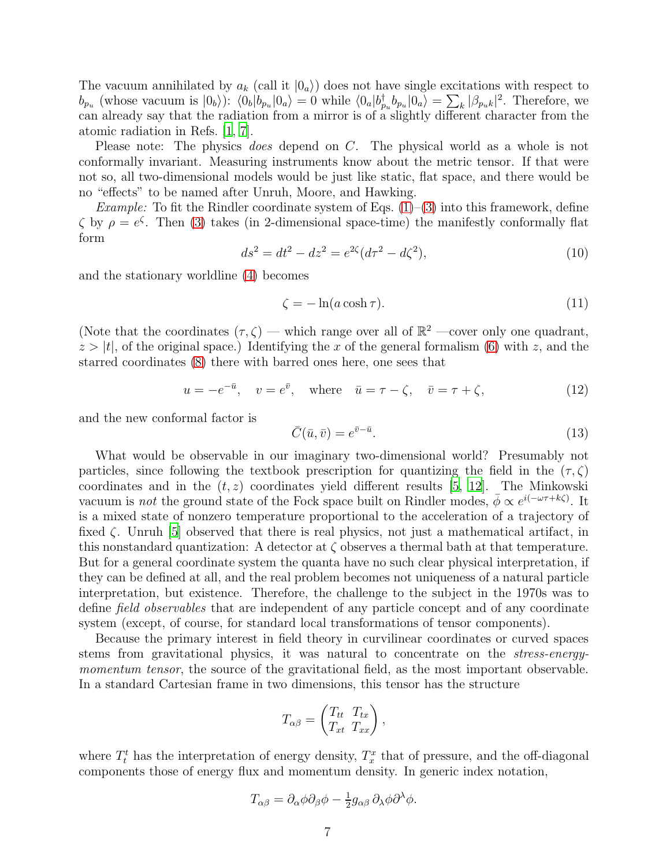The vacuum annihilated by  $a_k$  (call it  $|0_a\rangle$ ) does not have single excitations with respect to  $b_{p_u}$  (whose vacuum is  $|0_b\rangle$ ):  $\langle 0_b|b_{p_u}|0_a\rangle = 0$  while  $\langle 0_a|b_{p_u}^{\dagger}b_{p_u}|0_a\rangle = \sum_k |\beta_{p_u}k|^2$ . Therefore, we can already say that the radiation from a mirror is of a slightly different character from the atomic radiation in Refs. [\[1](#page-14-0), [7](#page-14-6)].

Please note: The physics *does* depend on C. The physical world as a whole is not conformally invariant. Measuring instruments know about the metric tensor. If that were not so, all two-dimensional models would be just like static, flat space, and there would be no "effects" to be named after Unruh, Moore, and Hawking.

*Example:* To fit the Rindler coordinate system of Eqs.  $(1)$ – $(3)$  into this framework, define  $\zeta$  by  $\rho = e^{\zeta}$ . Then [\(3\)](#page-5-1) takes (in 2-dimensional space-time) the manifestly conformally flat form

$$
ds^2 = dt^2 - dz^2 = e^{2\zeta} (d\tau^2 - d\zeta^2),\tag{10}
$$

and the stationary worldline [\(4\)](#page-5-2) becomes

<span id="page-7-2"></span>
$$
\zeta = -\ln(a\cosh\tau). \tag{11}
$$

(Note that the coordinates  $(\tau, \zeta)$  — which range over all of  $\mathbb{R}^2$  —cover only one quadrant,  $z > |t|$ , of the original space.) Identifying the x of the general formalism [\(6\)](#page-6-0) with z, and the starred coordinates [\(8\)](#page-6-1) there with barred ones here, one sees that

<span id="page-7-1"></span>
$$
u = -e^{-\bar{u}}, \quad v = e^{\bar{v}}, \quad \text{where} \quad \bar{u} = \tau - \zeta, \quad \bar{v} = \tau + \zeta,
$$
 (12)

and the new conformal factor is

<span id="page-7-0"></span>
$$
\bar{C}(\bar{u},\bar{v}) = e^{\bar{v}-\bar{u}}.\tag{13}
$$

What would be observable in our imaginary two-dimensional world? Presumably not particles, since following the textbook prescription for quantizing the field in the  $(\tau, \zeta)$ coordinates and in the  $(t, z)$  coordinates yield different results [\[5,](#page-14-4) [12](#page-15-3)]. The Minkowski vacuum is *not* the ground state of the Fock space built on Rindler modes,  $\bar{\phi} \propto e^{i(-\omega\tau + k\zeta)}$ . It is a mixed state of nonzero temperature proportional to the acceleration of a trajectory of fixed  $\zeta$ . Unruh [\[5\]](#page-14-4) observed that there is real physics, not just a mathematical artifact, in this nonstandard quantization: A detector at  $\zeta$  observes a thermal bath at that temperature. But for a general coordinate system the quanta have no such clear physical interpretation, if they can be defined at all, and the real problem becomes not uniqueness of a natural particle interpretation, but existence. Therefore, the challenge to the subject in the 1970s was to define *field observables* that are independent of any particle concept and of any coordinate system (except, of course, for standard local transformations of tensor components).

Because the primary interest in field theory in curvilinear coordinates or curved spaces stems from gravitational physics, it was natural to concentrate on the *stress-energymomentum tensor*, the source of the gravitational field, as the most important observable. In a standard Cartesian frame in two dimensions, this tensor has the structure

$$
T_{\alpha\beta} = \begin{pmatrix} T_{tt} & T_{tx} \\ T_{xt} & T_{xx} \end{pmatrix},
$$

where  $T_t^t$  has the interpretation of energy density,  $T_x^x$  that of pressure, and the off-diagonal components those of energy flux and momentum density. In generic index notation,

$$
T_{\alpha\beta} = \partial_{\alpha}\phi\partial_{\beta}\phi - \frac{1}{2}g_{\alpha\beta}\partial_{\lambda}\phi\partial^{\lambda}\phi.
$$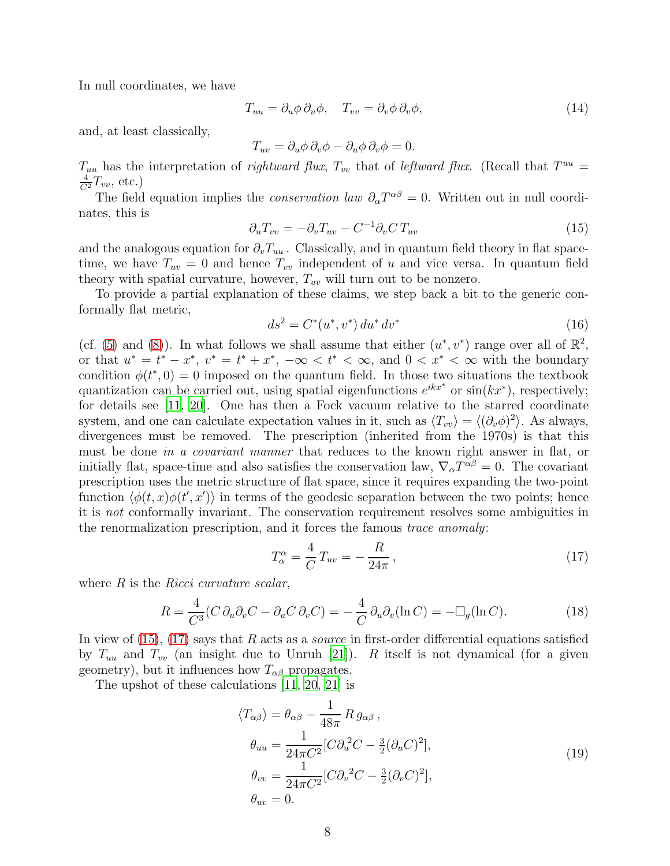In null coordinates, we have

$$
T_{uu} = \partial_u \phi \, \partial_u \phi, \quad T_{vv} = \partial_v \phi \, \partial_v \phi,
$$
\n
$$
(14)
$$

and, at least classically,

$$
T_{uv} = \partial_u \phi \, \partial_v \phi - \partial_u \phi \, \partial_v \phi = 0.
$$

 $T_{uu}$  has the interpretation of *rightward flux*,  $T_{vv}$  that of *leftward flux*. (Recall that  $T^{uu}$  =  $\frac{4}{C^2}T_{vv}$ , etc.)

The field equation implies the *conservation law*  $\partial_{\alpha}T^{\alpha\beta} = 0$ . Written out in null coordinates, this is

<span id="page-8-0"></span>
$$
\partial_u T_{vv} = -\partial_v T_{uv} - C^{-1} \partial_v C T_{uv} \tag{15}
$$

and the analogous equation for  $\partial_v T_{uu}$ . Classically, and in quantum field theory in flat spacetime, we have  $T_{uv} = 0$  and hence  $T_{vv}$  independent of u and vice versa. In quantum field theory with spatial curvature, however,  $T_{uv}$  will turn out to be nonzero.

To provide a partial explanation of these claims, we step back a bit to the generic conformally flat metric,

$$
ds^2 = C^*(u^*, v^*) du^* dv^*
$$
\n(16)

(cf. [\(5\)](#page-6-2) and [\(8\)](#page-6-1)). In what follows we shall assume that either  $(u^*, v^*)$  range over all of  $\mathbb{R}^2$ , or that  $u^* = t^* - x^*$ ,  $v^* = t^* + x^*$ ,  $-\infty < t^* < \infty$ , and  $0 < x^* < \infty$  with the boundary condition  $\phi(t^*,0) = 0$  imposed on the quantum field. In those two situations the textbook quantization can be carried out, using spatial eigenfunctions  $e^{ikx^*}$  or  $sin(kx^*)$ , respectively; for details see [\[11](#page-15-2), [20\]](#page-15-11). One has then a Fock vacuum relative to the starred coordinate system, and one can calculate expectation values in it, such as  $\langle T_{vv} \rangle = \langle (\partial_v \phi)^2 \rangle$ . As always, divergences must be removed. The prescription (inherited from the 1970s) is that this must be done *in a covariant manner* that reduces to the known right answer in flat, or initially flat, space-time and also satisfies the conservation law,  $\nabla_{\alpha}T^{\alpha\beta} = 0$ . The covariant prescription uses the metric structure of flat space, since it requires expanding the two-point function  $\langle \phi(t, x)\phi(t', x')\rangle$  in terms of the geodesic separation between the two points; hence it is *not* conformally invariant. The conservation requirement resolves some ambiguities in the renormalization prescription, and it forces the famous *trace anomaly*:

<span id="page-8-1"></span>
$$
T_{\alpha}^{\alpha} = \frac{4}{C} T_{uv} = -\frac{R}{24\pi},\qquad(17)
$$

where R is the *Ricci curvature scalar*,

$$
R = \frac{4}{C^3} (C \partial_u \partial_v C - \partial_u C \partial_v C) = -\frac{4}{C} \partial_u \partial_v (\ln C) = -\Box_g (\ln C). \tag{18}
$$

In view of [\(15\)](#page-8-0), [\(17\)](#page-8-1) says that R acts as a *source* in first-order differential equations satisfied by  $T_{uu}$  and  $T_{vv}$  (an insight due to Unruh [\[21](#page-15-12)]). R itself is not dynamical (for a given geometry), but it influences how  $T_{\alpha\beta}$  propagates.

The upshot of these calculations [\[11,](#page-15-2) [20](#page-15-11), [21](#page-15-12)] is

<span id="page-8-2"></span>
$$
\langle T_{\alpha\beta} \rangle = \theta_{\alpha\beta} - \frac{1}{48\pi} R g_{\alpha\beta} ,
$$
  
\n
$$
\theta_{uu} = \frac{1}{24\pi C^2} [C \partial_u^2 C - \frac{3}{2} (\partial_u C)^2],
$$
  
\n
$$
\theta_{vv} = \frac{1}{24\pi C^2} [C \partial_v^2 C - \frac{3}{2} (\partial_v C)^2],
$$
  
\n
$$
\theta_{uv} = 0.
$$
\n(19)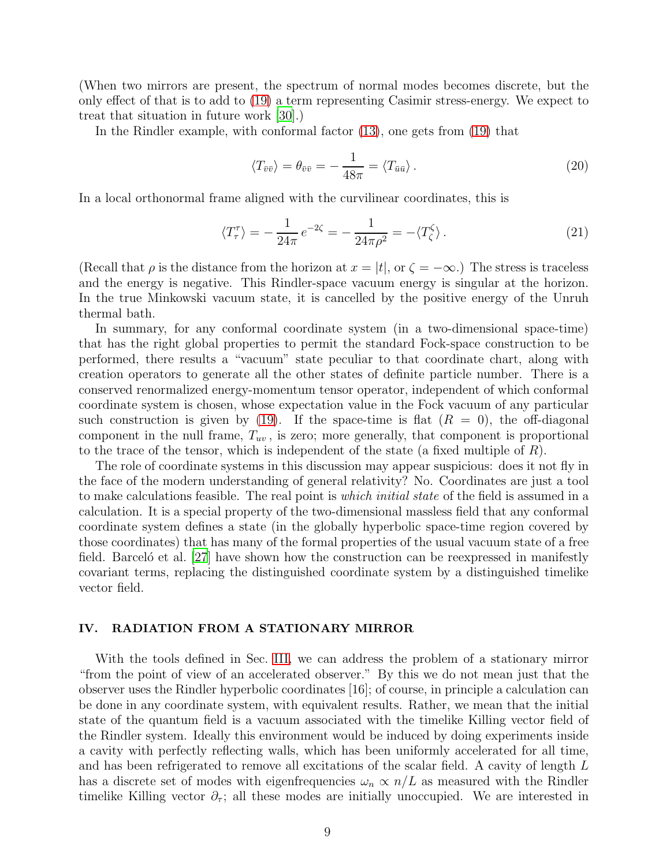(When two mirrors are present, the spectrum of normal modes becomes discrete, but the only effect of that is to add to [\(19\)](#page-8-2) a term representing Casimir stress-energy. We expect to treat that situation in future work [\[30\]](#page-15-18).)

In the Rindler example, with conformal factor [\(13\)](#page-7-0), one gets from [\(19\)](#page-8-2) that

<span id="page-9-1"></span>
$$
\langle T_{\bar{v}\bar{v}} \rangle = \theta_{\bar{v}\bar{v}} = -\frac{1}{48\pi} = \langle T_{\bar{u}\bar{u}} \rangle.
$$
 (20)

In a local orthonormal frame aligned with the curvilinear coordinates, this is

<span id="page-9-2"></span>
$$
\langle T_{\tau}^{\tau} \rangle = -\frac{1}{24\pi} e^{-2\zeta} = -\frac{1}{24\pi\rho^2} = -\langle T_{\zeta}^{\zeta} \rangle. \tag{21}
$$

(Recall that  $\rho$  is the distance from the horizon at  $x = |t|$ , or  $\zeta = -\infty$ .) The stress is traceless and the energy is negative. This Rindler-space vacuum energy is singular at the horizon. In the true Minkowski vacuum state, it is cancelled by the positive energy of the Unruh thermal bath.

In summary, for any conformal coordinate system (in a two-dimensional space-time) that has the right global properties to permit the standard Fock-space construction to be performed, there results a "vacuum" state peculiar to that coordinate chart, along with creation operators to generate all the other states of definite particle number. There is a conserved renormalized energy-momentum tensor operator, independent of which conformal coordinate system is chosen, whose expectation value in the Fock vacuum of any particular such construction is given by [\(19\)](#page-8-2). If the space-time is flat  $(R = 0)$ , the off-diagonal component in the null frame,  $T_{uv}$ , is zero; more generally, that component is proportional to the trace of the tensor, which is independent of the state (a fixed multiple of  $R$ ).

The role of coordinate systems in this discussion may appear suspicious: does it not fly in the face of the modern understanding of general relativity? No. Coordinates are just a tool to make calculations feasible. The real point is *which initial state* of the field is assumed in a calculation. It is a special property of the two-dimensional massless field that any conformal coordinate system defines a state (in the globally hyperbolic space-time region covered by those coordinates) that has many of the formal properties of the usual vacuum state of a free field. Barcelo<sup> $\epsilon$ </sup> et al. [\[27\]](#page-15-19) have shown how the construction can be reexpressed in manifestly covariant terms, replacing the distinguished coordinate system by a distinguished timelike vector field.

## <span id="page-9-0"></span>IV. RADIATION FROM A STATIONARY MIRROR

With the tools defined in Sec. [III,](#page-5-0) we can address the problem of a stationary mirror "from the point of view of an accelerated observer." By this we do not mean just that the observer uses the Rindler hyperbolic coordinates [16]; of course, in principle a calculation can be done in any coordinate system, with equivalent results. Rather, we mean that the initial state of the quantum field is a vacuum associated with the timelike Killing vector field of the Rindler system. Ideally this environment would be induced by doing experiments inside a cavity with perfectly reflecting walls, which has been uniformly accelerated for all time, and has been refrigerated to remove all excitations of the scalar field. A cavity of length L has a discrete set of modes with eigenfrequencies  $\omega_n \propto n/L$  as measured with the Rindler timelike Killing vector  $\partial_{\tau}$ ; all these modes are initially unoccupied. We are interested in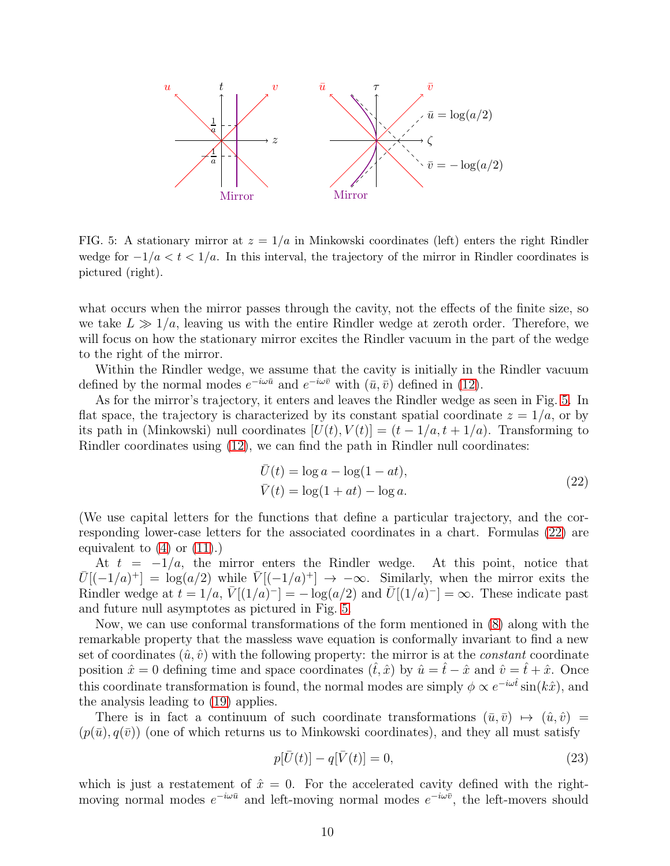

<span id="page-10-0"></span>FIG. 5: A stationary mirror at  $z = 1/a$  in Minkowski coordinates (left) enters the right Rindler wedge for  $-1/a < t < 1/a$ . In this interval, the trajectory of the mirror in Rindler coordinates is pictured (right).

what occurs when the mirror passes through the cavity, not the effects of the finite size, so we take  $L \gg 1/a$ , leaving us with the entire Rindler wedge at zeroth order. Therefore, we will focus on how the stationary mirror excites the Rindler vacuum in the part of the wedge to the right of the mirror.

Within the Rindler wedge, we assume that the cavity is initially in the Rindler vacuum defined by the normal modes  $e^{-i\omega \bar{u}}$  and  $e^{-i\omega \bar{v}}$  with  $(\bar{u}, \bar{v})$  defined in [\(12\)](#page-7-1).

As for the mirror's trajectory, it enters and leaves the Rindler wedge as seen in Fig. [5.](#page-10-0) In flat space, the trajectory is characterized by its constant spatial coordinate  $z = 1/a$ , or by its path in (Minkowski) null coordinates  $[U(t), V(t)] = (t - 1/a, t + 1/a)$ . Transforming to Rindler coordinates using [\(12\)](#page-7-1), we can find the path in Rindler null coordinates:

$$
\overline{U}(t) = \log a - \log(1 - at),
$$
  
\n
$$
\overline{V}(t) = \log(1 + at) - \log a.
$$
\n(22)

<span id="page-10-1"></span>(We use capital letters for the functions that define a particular trajectory, and the corresponding lower-case letters for the associated coordinates in a chart. Formulas [\(22\)](#page-10-1) are equivalent to  $(4)$  or  $(11)$ .)

At  $t = -1/a$ , the mirror enters the Rindler wedge. At this point, notice that  $\overline{U}[(-1/a)^+] = \log(a/2)$  while  $\overline{V}[(-1/a)^+] \rightarrow -\infty$ . Similarly, when the mirror exits the Rindler wedge at  $t = 1/a$ ,  $\bar{V}[(1/a)^{-}] = -\log(a/2)$  and  $\bar{U}[(1/a)^{-}] = \infty$ . These indicate past and future null asymptotes as pictured in Fig. [5.](#page-10-0)

Now, we can use conformal transformations of the form mentioned in [\(8\)](#page-6-1) along with the remarkable property that the massless wave equation is conformally invariant to find a new set of coordinates  $(\hat{u}, \hat{v})$  with the following property: the mirror is at the *constant* coordinate position  $\hat{x} = 0$  defining time and space coordinates  $(\hat{t}, \hat{x})$  by  $\hat{u} = \hat{t} - \hat{x}$  and  $\hat{v} = \hat{t} + \hat{x}$ . Once this coordinate transformation is found, the normal modes are simply  $\phi \propto e^{-i\omega \hat{t}} \sin(k\hat{x})$ , and the analysis leading to [\(19\)](#page-8-2) applies.

There is in fact a continuum of such coordinate transformations  $(\bar{u}, \bar{v}) \mapsto (\hat{u}, \hat{v}) =$  $(p(\bar{u}), q(\bar{v}))$  (one of which returns us to Minkowski coordinates), and they all must satisfy

<span id="page-10-2"></span>
$$
p[\bar{U}(t)] - q[\bar{V}(t)] = 0,
$$
\n(23)

which is just a restatement of  $\hat{x} = 0$ . For the accelerated cavity defined with the rightmoving normal modes  $e^{-i\omega \bar{u}}$  and left-moving normal modes  $e^{-i\omega \bar{v}}$ , the left-movers should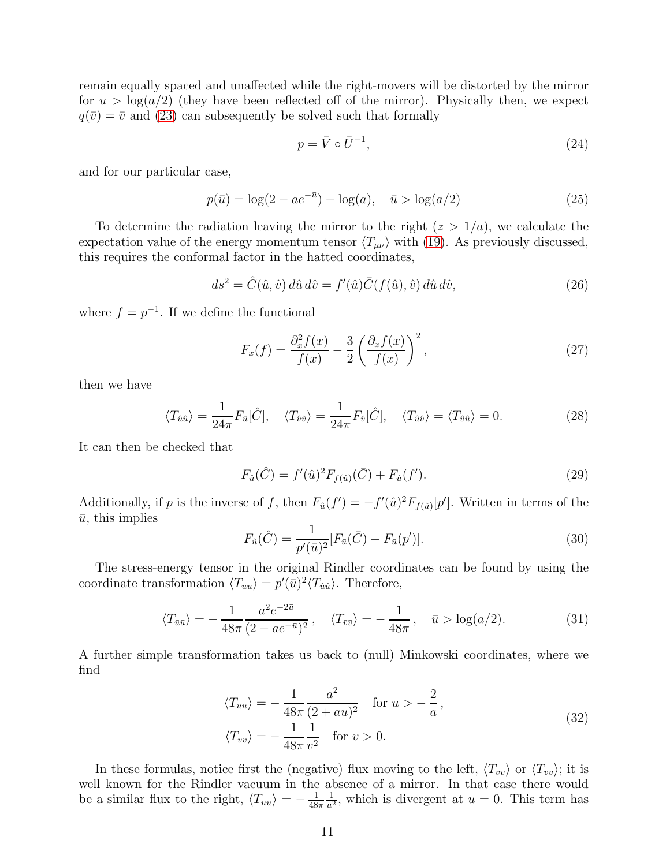remain equally spaced and unaffected while the right-movers will be distorted by the mirror for  $u > \log(a/2)$  (they have been reflected off of the mirror). Physically then, we expect  $q(\bar{v}) = \bar{v}$  and [\(23\)](#page-10-2) can subsequently be solved such that formally

$$
p = \bar{V} \circ \bar{U}^{-1},\tag{24}
$$

and for our particular case,

$$
p(\bar{u}) = \log(2 - ae^{-\bar{u}}) - \log(a), \quad \bar{u} > \log(a/2)
$$
 (25)

To determine the radiation leaving the mirror to the right  $(z > 1/a)$ , we calculate the expectation value of the energy momentum tensor  $\langle T_{\mu\nu} \rangle$  with [\(19\)](#page-8-2). As previously discussed, this requires the conformal factor in the hatted coordinates,

$$
ds^{2} = \hat{C}(\hat{u}, \hat{v}) d\hat{u} d\hat{v} = f'(\hat{u}) \bar{C}(f(\hat{u}), \hat{v}) d\hat{u} d\hat{v},
$$
\n(26)

where  $f = p^{-1}$ . If we define the functional

$$
F_x(f) = \frac{\partial_x^2 f(x)}{f(x)} - \frac{3}{2} \left( \frac{\partial_x f(x)}{f(x)} \right)^2,
$$
\n(27)

then we have

$$
\langle T_{\hat{u}\hat{u}} \rangle = \frac{1}{24\pi} F_{\hat{u}}[\hat{C}], \quad \langle T_{\hat{v}\hat{v}} \rangle = \frac{1}{24\pi} F_{\hat{v}}[\hat{C}], \quad \langle T_{\hat{u}\hat{v}} \rangle = \langle T_{\hat{v}\hat{u}} \rangle = 0. \tag{28}
$$

It can then be checked that

$$
F_{\hat{u}}(\hat{C}) = f'(\hat{u})^2 F_{f(\hat{u})}(\bar{C}) + F_{\hat{u}}(f').
$$
\n(29)

Additionally, if p is the inverse of f, then  $F_{\hat{u}}(f') = -f'(\hat{u})^2 F_{f(\hat{u})}[p']$ . Written in terms of the  $\bar{u}$ , this implies

$$
F_{\hat{u}}(\hat{C}) = \frac{1}{p'(\bar{u})^2} [F_{\bar{u}}(\bar{C}) - F_{\bar{u}}(p')].
$$
\n(30)

The stress-energy tensor in the original Rindler coordinates can be found by using the coordinate transformation  $\langle T_{\bar{u}\bar{u}} \rangle = p'(\bar{u})^2 \langle T_{\hat{u}\hat{u}} \rangle$ . Therefore,

$$
\langle T_{\bar{u}\bar{u}} \rangle = -\frac{1}{48\pi} \frac{a^2 e^{-2\bar{u}}}{(2 - ae^{-\bar{u}})^2}, \quad \langle T_{\bar{v}\bar{v}} \rangle = -\frac{1}{48\pi}, \quad \bar{u} > \log(a/2). \tag{31}
$$

A further simple transformation takes us back to (null) Minkowski coordinates, where we find

$$
\langle T_{uu} \rangle = -\frac{1}{48\pi} \frac{a^2}{(2+au)^2} \quad \text{for } u > -\frac{2}{a},
$$
  

$$
\langle T_{vv} \rangle = -\frac{1}{48\pi} \frac{1}{v^2} \quad \text{for } v > 0.
$$
 (32)

<span id="page-11-0"></span>In these formulas, notice first the (negative) flux moving to the left,  $\langle T_{\bar{v}\bar{v}} \rangle$  or  $\langle T_{vv} \rangle$ ; it is well known for the Rindler vacuum in the absence of a mirror. In that case there would be a similar flux to the right,  $\langle T_{uu} \rangle = -\frac{1}{48}$  $48\pi$  $\frac{1}{u^2}$ , which is divergent at  $u = 0$ . This term has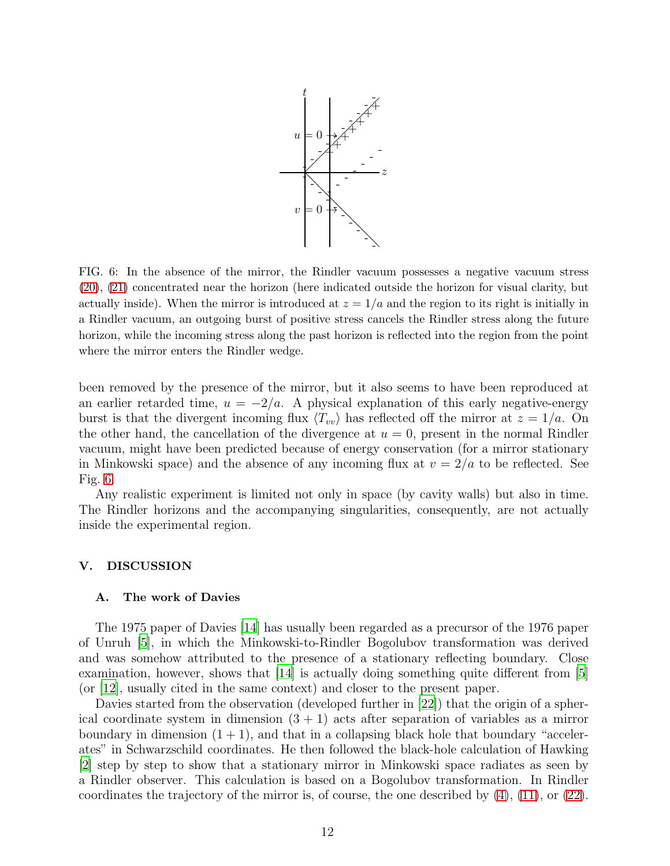

<span id="page-12-1"></span>FIG. 6: In the absence of the mirror, the Rindler vacuum possesses a negative vacuum stress [\(20\)](#page-9-1), [\(21\)](#page-9-2) concentrated near the horizon (here indicated outside the horizon for visual clarity, but actually inside). When the mirror is introduced at  $z = 1/a$  and the region to its right is initially in a Rindler vacuum, an outgoing burst of positive stress cancels the Rindler stress along the future horizon, while the incoming stress along the past horizon is reflected into the region from the point where the mirror enters the Rindler wedge.

been removed by the presence of the mirror, but it also seems to have been reproduced at an earlier retarded time,  $u = -2/a$ . A physical explanation of this early negative-energy burst is that the divergent incoming flux  $\langle T_{vv} \rangle$  has reflected off the mirror at  $z = 1/a$ . On the other hand, the cancellation of the divergence at  $u = 0$ , present in the normal Rindler vacuum, might have been predicted because of energy conservation (for a mirror stationary in Minkowski space) and the absence of any incoming flux at  $v = 2/a$  to be reflected. See Fig. [6.](#page-12-1)

Any realistic experiment is limited not only in space (by cavity walls) but also in time. The Rindler horizons and the accompanying singularities, consequently, are not actually inside the experimental region.

#### <span id="page-12-0"></span>V. DISCUSSION

#### A. The work of Davies

The 1975 paper of Davies [\[14\]](#page-15-5) has usually been regarded as a precursor of the 1976 paper of Unruh [\[5\]](#page-14-4), in which the Minkowski-to-Rindler Bogolubov transformation was derived and was somehow attributed to the presence of a stationary reflecting boundary. Close examination, however, shows that  $[14]$  is actually doing something quite different from  $[5]$ (or [\[12\]](#page-15-3), usually cited in the same context) and closer to the present paper.

Davies started from the observation (developed further in [\[22\]](#page-15-13)) that the origin of a spherical coordinate system in dimension  $(3 + 1)$  acts after separation of variables as a mirror boundary in dimension  $(1 + 1)$ , and that in a collapsing black hole that boundary "accelerates" in Schwarzschild coordinates. He then followed the black-hole calculation of Hawking [\[2](#page-14-1)] step by step to show that a stationary mirror in Minkowski space radiates as seen by a Rindler observer. This calculation is based on a Bogolubov transformation. In Rindler coordinates the trajectory of the mirror is, of course, the one described by  $(4)$ ,  $(11)$ , or  $(22)$ .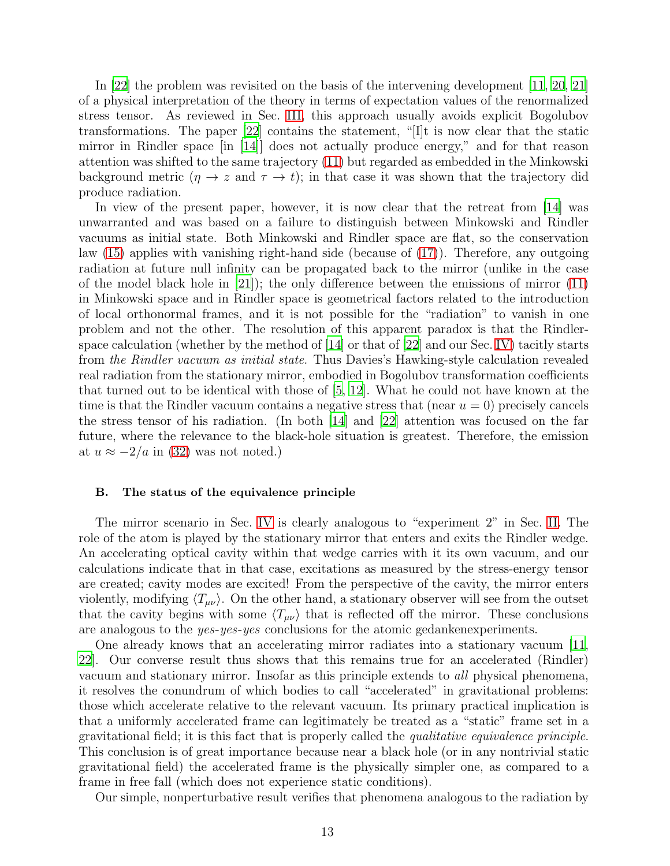In [\[22](#page-15-13)] the problem was revisited on the basis of the intervening development [\[11,](#page-15-2) [20](#page-15-11), [21\]](#page-15-12) of a physical interpretation of the theory in terms of expectation values of the renormalized stress tensor. As reviewed in Sec. [III,](#page-5-0) this approach usually avoids explicit Bogolubov transformations. The paper [\[22\]](#page-15-13) contains the statement, "[I]t is now clear that the static mirror in Rindler space  $\begin{bmatrix} 1 & 1 & 4 \end{bmatrix}$  does not actually produce energy," and for that reason attention was shifted to the same trajectory [\(11\)](#page-7-2) but regarded as embedded in the Minkowski background metric  $(\eta \to z \text{ and } \tau \to t)$ ; in that case it was shown that the trajectory did produce radiation.

In view of the present paper, however, it is now clear that the retreat from [\[14](#page-15-5)] was unwarranted and was based on a failure to distinguish between Minkowski and Rindler vacuums as initial state. Both Minkowski and Rindler space are flat, so the conservation law [\(15\)](#page-8-0) applies with vanishing right-hand side (because of [\(17\)](#page-8-1)). Therefore, any outgoing radiation at future null infinity can be propagated back to the mirror (unlike in the case of the model black hole in  $[21]$ ; the only difference between the emissions of mirror  $(11)$ in Minkowski space and in Rindler space is geometrical factors related to the introduction of local orthonormal frames, and it is not possible for the "radiation" to vanish in one problem and not the other. The resolution of this apparent paradox is that the Rindlerspace calculation (whether by the method of  $[14]$  or that of  $[22]$  and our Sec. [IV\)](#page-9-0) tacitly starts from *the Rindler vacuum as initial state*. Thus Davies's Hawking-style calculation revealed real radiation from the stationary mirror, embodied in Bogolubov transformation coefficients that turned out to be identical with those of [\[5,](#page-14-4) [12\]](#page-15-3). What he could not have known at the time is that the Rindler vacuum contains a negative stress that (near  $u = 0$ ) precisely cancels the stress tensor of his radiation. (In both [\[14](#page-15-5)] and [\[22\]](#page-15-13) attention was focused on the far future, where the relevance to the black-hole situation is greatest. Therefore, the emission at  $u \approx -2/a$  in [\(32\)](#page-11-0) was not noted.)

### B. The status of the equivalence principle

The mirror scenario in Sec. [IV](#page-9-0) is clearly analogous to "experiment 2" in Sec. [II.](#page-3-0) The role of the atom is played by the stationary mirror that enters and exits the Rindler wedge. An accelerating optical cavity within that wedge carries with it its own vacuum, and our calculations indicate that in that case, excitations as measured by the stress-energy tensor are created; cavity modes are excited! From the perspective of the cavity, the mirror enters violently, modifying  $\langle T_{\mu\nu} \rangle$ . On the other hand, a stationary observer will see from the outset that the cavity begins with some  $\langle T_{\mu\nu} \rangle$  that is reflected off the mirror. These conclusions are analogous to the *yes*-*yes*-*yes* conclusions for the atomic gedankenexperiments.

One already knows that an accelerating mirror radiates into a stationary vacuum [\[11,](#page-15-2) [22\]](#page-15-13). Our converse result thus shows that this remains true for an accelerated (Rindler) vacuum and stationary mirror. Insofar as this principle extends to *all* physical phenomena, it resolves the conundrum of which bodies to call "accelerated" in gravitational problems: those which accelerate relative to the relevant vacuum. Its primary practical implication is that a uniformly accelerated frame can legitimately be treated as a "static" frame set in a gravitational field; it is this fact that is properly called the *qualitative equivalence principle*. This conclusion is of great importance because near a black hole (or in any nontrivial static gravitational field) the accelerated frame is the physically simpler one, as compared to a frame in free fall (which does not experience static conditions).

Our simple, nonperturbative result verifies that phenomena analogous to the radiation by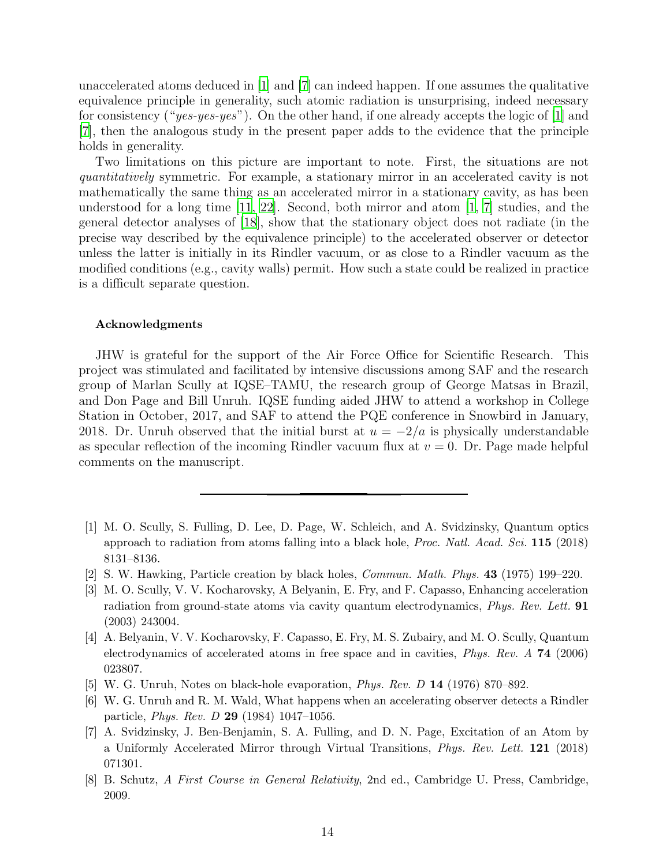unaccelerated atoms deduced in [\[1](#page-14-0)] and [\[7](#page-14-6)] can indeed happen. If one assumes the qualitative equivalence principle in generality, such atomic radiation is unsurprising, indeed necessary for consistency ("*yes-yes-yes*"). On the other hand, if one already accepts the logic of [\[1](#page-14-0)] and [\[7](#page-14-6)], then the analogous study in the present paper adds to the evidence that the principle holds in generality.

Two limitations on this picture are important to note. First, the situations are not *quantitatively* symmetric. For example, a stationary mirror in an accelerated cavity is not mathematically the same thing as an accelerated mirror in a stationary cavity, as has been understood for a long time [\[11](#page-15-2), [22\]](#page-15-13). Second, both mirror and atom [\[1,](#page-14-0) [7\]](#page-14-6) studies, and the general detector analyses of [\[18\]](#page-15-9), show that the stationary object does not radiate (in the precise way described by the equivalence principle) to the accelerated observer or detector unless the latter is initially in its Rindler vacuum, or as close to a Rindler vacuum as the modified conditions (e.g., cavity walls) permit. How such a state could be realized in practice is a difficult separate question.

## Acknowledgments

JHW is grateful for the support of the Air Force Office for Scientific Research. This project was stimulated and facilitated by intensive discussions among SAF and the research group of Marlan Scully at IQSE–TAMU, the research group of George Matsas in Brazil, and Don Page and Bill Unruh. IQSE funding aided JHW to attend a workshop in College Station in October, 2017, and SAF to attend the PQE conference in Snowbird in January, 2018. Dr. Unruh observed that the initial burst at  $u = -2/a$  is physically understandable as specular reflection of the incoming Rindler vacuum flux at  $v = 0$ . Dr. Page made helpful comments on the manuscript.

- <span id="page-14-0"></span>[1] M. O. Scully, S. Fulling, D. Lee, D. Page, W. Schleich, and A. Svidzinsky, Quantum optics approach to radiation from atoms falling into a black hole, *Proc. Natl. Acad. Sci.* 115 (2018) 8131–8136.
- <span id="page-14-1"></span>[2] S. W. Hawking, Particle creation by black holes, *Commun. Math. Phys.* 43 (1975) 199–220.
- <span id="page-14-2"></span>[3] M. O. Scully, V. V. Kocharovsky, A Belyanin, E. Fry, and F. Capasso, Enhancing acceleration radiation from ground-state atoms via cavity quantum electrodynamics, *Phys. Rev. Lett.* 91 (2003) 243004.
- <span id="page-14-3"></span>[4] A. Belyanin, V. V. Kocharovsky, F. Capasso, E. Fry, M. S. Zubairy, and M. O. Scully, Quantum electrodynamics of accelerated atoms in free space and in cavities, *Phys. Rev. A* 74 (2006) 023807.
- <span id="page-14-4"></span>[5] W. G. Unruh, Notes on black-hole evaporation, *Phys. Rev. D* 14 (1976) 870–892.
- <span id="page-14-5"></span>[6] W. G. Unruh and R. M. Wald, What happens when an accelerating observer detects a Rindler particle, *Phys. Rev. D* 29 (1984) 1047–1056.
- <span id="page-14-6"></span>[7] A. Svidzinsky, J. Ben-Benjamin, S. A. Fulling, and D. N. Page, Excitation of an Atom by a Uniformly Accelerated Mirror through Virtual Transitions, *Phys. Rev. Lett.* 121 (2018) 071301.
- <span id="page-14-7"></span>[8] B. Schutz, *A First Course in General Relativity*, 2nd ed., Cambridge U. Press, Cambridge, 2009.